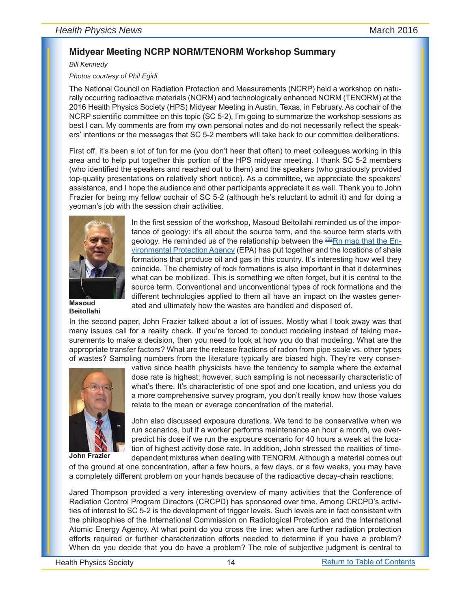## **Midyear Meeting NCRP NORM/TENORM Workshop Summary**

*Bill Kennedy*

*Photos courtesy of Phil Egidi*

The National Council on Radiation Protection and Measurements (NCRP) held a workshop on naturally occurring radioactive materials (NORM) and technologically enhanced NORM (TENORM) at the 2016 Health Physics Society (HPS) Midyear Meeting in Austin, Texas, in February. As cochair of the NCRP scientific committee on this topic (SC 5-2), I'm going to summarize the workshop sessions as best I can. My comments are from my own personal notes and do not necessarily reflect the speakers' intentions or the messages that SC 5-2 members will take back to our committee deliberations.

First off, it's been a lot of fun for me (you don't hear that often) to meet colleagues working in this area and to help put together this portion of the HPS midyear meeting. I thank SC 5-2 members (who identified the speakers and reached out to them) and the speakers (who graciously provided top-quality presentations on relatively short notice). As a committee, we appreciate the speakers' assistance, and I hope the audience and other participants appreciate it as well. Thank you to John Frazier for being my fellow cochair of SC 5-2 (although he's reluctant to admit it) and for doing a yeoman's job with the session chair activities.



**Masoud Beitollahi**

In the first session of the workshop, Masoud Beitollahi reminded us of the importance of geology: it's all about the source term, and the source term starts with geology. He reminded us of the relationship between the  $222Rn$  map that the En[vironmental Protection Agency](http://www.epa.gov/radon/epa-map-radon-zones) (EPA) has put together and the locations of shale formations that produce oil and gas in this country. It's interesting how well they coincide. The chemistry of rock formations is also important in that it determines what can be mobilized. This is something we often forget, but it is central to the source term. Conventional and unconventional types of rock formations and the different technologies applied to them all have an impact on the wastes generated and ultimately how the wastes are handled and disposed of.

In the second paper, John Frazier talked about a lot of issues. Mostly what I took away was that many issues call for a reality check. If you're forced to conduct modeling instead of taking measurements to make a decision, then you need to look at how you do that modeling. What are the appropriate transfer factors? What are the release fractions of radon from pipe scale vs. other types of wastes? Sampling numbers from the literature typically are biased high. They're very conser-



**John Frazier**

vative since health physicists have the tendency to sample where the external dose rate is highest; however, such sampling is not necessarily characteristic of what's there. It's characteristic of one spot and one location, and unless you do a more comprehensive survey program, you don't really know how those values relate to the mean or average concentration of the material.

John also discussed exposure durations. We tend to be conservative when we run scenarios, but if a worker performs maintenance an hour a month, we overpredict his dose if we run the exposure scenario for 40 hours a week at the location of highest activity dose rate. In addition, John stressed the realities of timedependent mixtures when dealing with TENORM. Although a material comes out

of the ground at one concentration, after a few hours, a few days, or a few weeks, you may have a completely different problem on your hands because of the radioactive decay-chain reactions.

Jared Thompson provided a very interesting overview of many activities that the Conference of Radiation Control Program Directors (CRCPD) has sponsored over time. Among CRCPD's activities of interest to SC 5-2 is the development of trigger levels. Such levels are in fact consistent with the philosophies of the International Commission on Radiological Protection and the International Atomic Energy Agency. At what point do you cross the line: when are further radiation protection efforts required or further characterization efforts needed to determine if you have a problem? When do you decide that you do have a problem? The role of subjective judgment is central to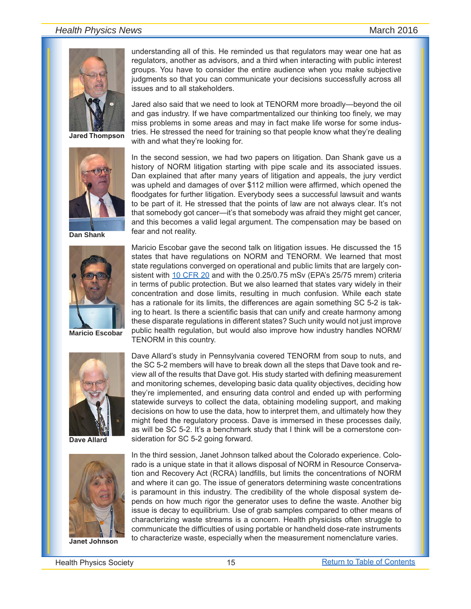## *Health Physics News* Match 2016



**Jared Thompson**



**Dan Shank**



**Maricio Escobar**



**Dave Allard**



understanding all of this. He reminded us that regulators may wear one hat as regulators, another as advisors, and a third when interacting with public interest groups. You have to consider the entire audience when you make subjective judgments so that you can communicate your decisions successfully across all issues and to all stakeholders.

Jared also said that we need to look at TENORM more broadly—beyond the oil and gas industry. If we have compartmentalized our thinking too finely, we may miss problems in some areas and may in fact make life worse for some industries. He stressed the need for training so that people know what they're dealing with and what they're looking for.

In the second session, we had two papers on litigation. Dan Shank gave us a history of NORM litigation starting with pipe scale and its associated issues. Dan explained that after many years of litigation and appeals, the jury verdict was upheld and damages of over \$112 million were affirmed, which opened the floodgates for further litigation. Everybody sees a successful lawsuit and wants to be part of it. He stressed that the points of law are not always clear. It's not that somebody got cancer—it's that somebody was afraid they might get cancer, and this becomes a valid legal argument. The compensation may be based on fear and not reality.

Maricio Escobar gave the second talk on litigation issues. He discussed the 15 states that have regulations on NORM and TENORM. We learned that most state regulations converged on operational and public limits that are largely con-sistent with [10 CFR 20](http://www.nrc.gov/reading-rm/doc-collections/cfr/part020/) and with the 0.25/0.75 mSv (EPA's 25/75 mrem) criteria in terms of public protection. But we also learned that states vary widely in their concentration and dose limits, resulting in much confusion. While each state has a rationale for its limits, the differences are again something SC 5-2 is taking to heart. Is there a scientific basis that can unify and create harmony among these disparate regulations in different states? Such unity would not just improve public health regulation, but would also improve how industry handles NORM/ TENORM in this country.

Dave Allard's study in Pennsylvania covered TENORM from soup to nuts, and the SC 5-2 members will have to break down all the steps that Dave took and review all of the results that Dave got. His study started with defining measurement and monitoring schemes, developing basic data quality objectives, deciding how they're implemented, and ensuring data control and ended up with performing statewide surveys to collect the data, obtaining modeling support, and making decisions on how to use the data, how to interpret them, and ultimately how they might feed the regulatory process. Dave is immersed in these processes daily, as will be SC 5-2. It's a benchmark study that I think will be a cornerstone consideration for SC 5-2 going forward.

In the third session, Janet Johnson talked about the Colorado experience. Colorado is a unique state in that it allows disposal of NORM in Resource Conservation and Recovery Act (RCRA) landfills, but limits the concentrations of NORM and where it can go. The issue of generators determining waste concentrations is paramount in this industry. The credibility of the whole disposal system depends on how much rigor the generator uses to define the waste. Another big issue is decay to equilibrium. Use of grab samples compared to other means of characterizing waste streams is a concern. Health physicists often struggle to communicate the difficulties of using portable or handheld dose-rate instruments to characterize waste, especially when the measurement nomenclature varies. **Janet Johnson**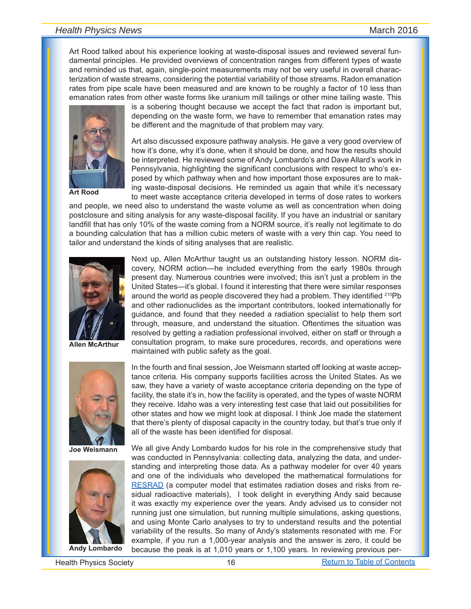## *Health Physics News* March 2016

Art Rood talked about his experience looking at waste-disposal issues and reviewed several fundamental principles. He provided overviews of concentration ranges from different types of waste and reminded us that, again, single-point measurements may not be very useful in overall characterization of waste streams, considering the potential variability of those streams. Radon emanation rates from pipe scale have been measured and are known to be roughly a factor of 10 less than emanation rates from other waste forms like uranium mill tailings or other mine tailing waste. This



**Art Rood**

is a sobering thought because we accept the fact that radon is important but, depending on the waste form, we have to remember that emanation rates may be different and the magnitude of that problem may vary.

Art also discussed exposure pathway analysis. He gave a very good overview of how it's done, why it's done, when it should be done, and how the results should be interpreted. He reviewed some of Andy Lombardo's and Dave Allard's work in Pennsylvania, highlighting the significant conclusions with respect to who's exposed by which pathway when and how important those exposures are to making waste-disposal decisions. He reminded us again that while it's necessary to meet waste acceptance criteria developed in terms of dose rates to workers

and people, we need also to understand the waste volume as well as concentration when doing postclosure and siting analysis for any waste-disposal facility. If you have an industrial or sanitary landfill that has only 10% of the waste coming from a NORM source, it's really not legitimate to do a bounding calculation that has a million cubic meters of waste with a very thin cap. You need to tailor and understand the kinds of siting analyses that are realistic.



**Allen McArthur**



**Joe Weismann**



**Andy Lombardo**

Next up, Allen McArthur taught us an outstanding history lesson. NORM discovery, NORM action—he included everything from the early 1980s through present day. Numerous countries were involved; this isn't just a problem in the United States—it's global. I found it interesting that there were similar responses around the world as people discovered they had a problem. They identified <sup>210</sup>Pb and other radionuclides as the important contributors, looked internationally for guidance, and found that they needed a radiation specialist to help them sort through, measure, and understand the situation. Oftentimes the situation was resolved by getting a radiation professional involved, either on staff or through a consultation program, to make sure procedures, records, and operations were maintained with public safety as the goal.

In the fourth and final session, Joe Weismann started off looking at waste acceptance criteria. His company supports facilities across the United States. As we saw, they have a variety of waste acceptance criteria depending on the type of facility, the state it's in, how the facility is operated, and the types of waste NORM they receive. Idaho was a very interesting test case that laid out possibilities for other states and how we might look at disposal. I think Joe made the statement that there's plenty of disposal capacity in the country today, but that's true only if all of the waste has been identified for disposal.

We all give Andy Lombardo kudos for his role in the comprehensive study that was conducted in Pennsylvania: collecting data, analyzing the data, and understanding and interpreting those data. As a pathway modeler for over 40 years and one of the individuals who developed the mathematical formulations for [RESRAD](https://web.evs.anl.gov/resrad/) (a computer model that estimates radiation doses and risks from residual radioactive materials), I took delight in everything Andy said because it was exactly my experience over the years. Andy advised us to consider not running just one simulation, but running multiple simulations, asking questions, and using Monte Carlo analyses to try to understand results and the potential variability of the results. So many of Andy's statements resonated with me. For example, if you run a 1,000-year analysis and the answer is zero, it could be because the peak is at 1,010 years or 1,100 years. In reviewing previous per-